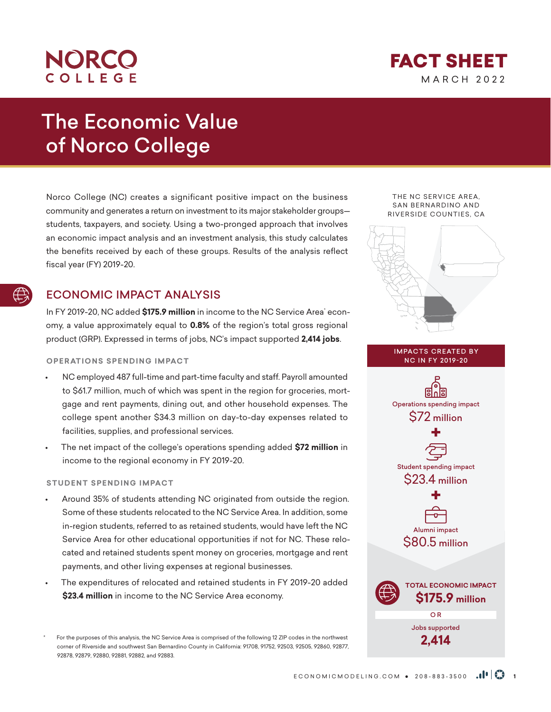## **NORCO** COLLEGE

MARCH 2022 FACT SHEET

# The Economic Value of Norco College

Norco College (NC) creates a significant positive impact on the business community and generates a return on investment to its major stakeholder groups students, taxpayers, and society. Using a two-pronged approach that involves an economic impact analysis and an investment analysis, this study calculates the benefits received by each of these groups. Results of the analysis reflect fiscal year (FY) 2019-20.

## ECONOMIC IMPACT ANALYSIS

In FY 2019-20, NC added **\$175.9 million** in income to the NC Service Area<sup>:</sup> economy, a value approximately equal to **0.8%** of the region's total gross regional product (GRP). Expressed in terms of jobs, NC's impact supported **2,414 jobs**.

## **OPERATIONS SPENDING IMPACT**

- NC employed 487 full-time and part-time faculty and staff. Payroll amounted to \$61.7 million, much of which was spent in the region for groceries, mortgage and rent payments, dining out, and other household expenses. The college spent another \$34.3 million on day-to-day expenses related to facilities, supplies, and professional services.
- The net impact of the college's operations spending added **\$72 million** in income to the regional economy in FY 2019-20.

## **STUDENT SPENDING IMPACT**

- Around 35% of students attending NC originated from outside the region. Some of these students relocated to the NC Service Area. In addition, some in-region students, referred to as retained students, would have left the NC Service Area for other educational opportunities if not for NC. These relocated and retained students spent money on groceries, mortgage and rent payments, and other living expenses at regional businesses.
- The expenditures of relocated and retained students in FY 2019-20 added **\$23.4 million** in income to the NC Service Area economy.

For the purposes of this analysis, the NC Service Area is comprised of the following 12 ZIP codes in the northwest corner of Riverside and southwest San Bernardino County in California: 91708, 91752, 92503, 92505, 92860, 92877, 92878, 92879, 92880, 92881, 92882, and 92883.

#### THE NC SERVICE AREA, SAN BERNARDINO AND RIVERSIDE COUNTIES, CA